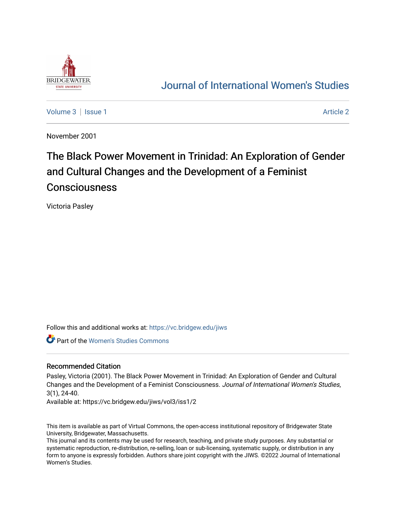

# [Journal of International Women's Studies](https://vc.bridgew.edu/jiws)

[Volume 3](https://vc.bridgew.edu/jiws/vol3) | [Issue 1](https://vc.bridgew.edu/jiws/vol3/iss1) Article 2

November 2001

# The Black Power Movement in Trinidad: An Exploration of Gender and Cultural Changes and the Development of a Feminist **Consciousness**

Victoria Pasley

Follow this and additional works at: [https://vc.bridgew.edu/jiws](https://vc.bridgew.edu/jiws?utm_source=vc.bridgew.edu%2Fjiws%2Fvol3%2Fiss1%2F2&utm_medium=PDF&utm_campaign=PDFCoverPages)

Part of the [Women's Studies Commons](http://network.bepress.com/hgg/discipline/561?utm_source=vc.bridgew.edu%2Fjiws%2Fvol3%2Fiss1%2F2&utm_medium=PDF&utm_campaign=PDFCoverPages) 

# Recommended Citation

Pasley, Victoria (2001). The Black Power Movement in Trinidad: An Exploration of Gender and Cultural Changes and the Development of a Feminist Consciousness. Journal of International Women's Studies, 3(1), 24-40.

Available at: https://vc.bridgew.edu/jiws/vol3/iss1/2

This item is available as part of Virtual Commons, the open-access institutional repository of Bridgewater State University, Bridgewater, Massachusetts.

This journal and its contents may be used for research, teaching, and private study purposes. Any substantial or systematic reproduction, re-distribution, re-selling, loan or sub-licensing, systematic supply, or distribution in any form to anyone is expressly forbidden. Authors share joint copyright with the JIWS. ©2022 Journal of International Women's Studies.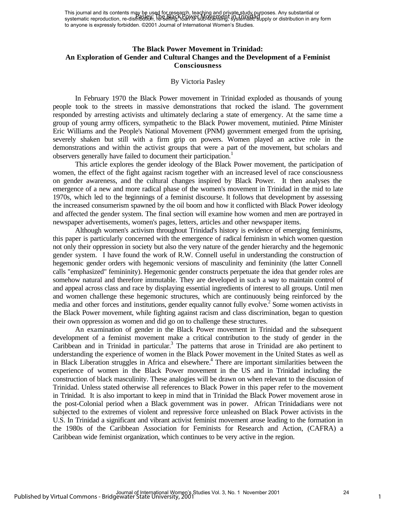This journal and its contents may be used for research, teaching and private study purposes. Any substantial or This journal and its contents may be exampled by the Black Physical and physics, and physics. Any substantial or<br>systematic reproduction, re-distribution, re-selling, loan of BM 916 FM 918 FM 918 FM 918 Pupply or distribut to anyone is expressly forbidden. ©2001 Journal of International Women's Studies.

# **The Black Power Movement in Trinidad: An Exploration of Gender and Cultural Changes and the Development of a Feminist Consciousness**

#### By Victoria Pasley

In February 1970 the Black Power movement in Trinidad exploded as thousands of young people took to the streets in massive demonstrations that rocked the island. The government responded by arresting activists and ultimately declaring a state of emergency. At the same time a group of young army officers, sympathetic to the Black Power movement, mutinied. Prime Minister Eric Williams and the People's National Movement (PNM) government emerged from the uprising, severely shaken but still with a firm grip on powers. Women played an active role in the demonstrations and within the activist groups that were a part of the movement, but scholars and observers generally have failed to document their participation.<sup>1</sup>

This article explores the gender ideology of the Black Power movement, the participation of women, the effect of the fight against racism together with an increased level of race consciousness on gender awareness, and the cultural changes inspired by Black Power. It then analyses the emergence of a new and more radical phase of the women's movement in Trinidad in the mid to late 1970s, which led to the beginnings of a feminist discourse. It follows that development by assessing the increased consumerism spawned by the oil boom and how it conflicted with Black Power ideology and affected the gender system. The final section will examine how women and men are portrayed in newspaper advertisements, women's pages, letters, articles and other newspaper items.

Although women's activism throughout Trinidad's history is evidence of emerging feminisms, this paper is particularly concerned with the emergence of radical feminism in which women question not only their oppression in society but also the very nature of the gender hierarchy and the hegemonic gender system. I have found the work of R.W. Connell useful in understanding the construction of hegemonic gender orders with hegemonic versions of masculinity and femininity (the latter Connell calls "emphasized" femininity). Hegemonic gender constructs perpetuate the idea that gender roles are somehow natural and therefore immutable. They are developed in such a way to maintain control of and appeal across class and race by displaying essential ingredients of interest to all groups. Until men and women challenge these hegemonic structures, which are continuously being reinforced by the media and other forces and institutions, gender equality cannot fully evolve.<sup>2</sup> Some women activists in the Black Power movement, while fighting against racism and class discrimination, began to question their own oppression as women and did go on to challenge these structures.

An examination of gender in the Black Power movement in Trinidad and the subsequent development of a feminist movement make a critical contribution to the study of gender in the Caribbean and in Trinidad in particular.<sup>3</sup> The patterns that arose in Trinidad are also pertinent to understanding the experience of women in the Black Power movement in the United States as well as in Black Liberation struggles in Africa and elsewhere.<sup>4</sup> There are important similarities between the experience of women in the Black Power movement in the US and in Trinidad including the construction of black masculinity. These analogies will be drawn on when relevant to the discussion of Trinidad. Unless stated otherwise all references to Black Power in this paper refer to the movement in Trinidad. It is also important to keep in mind that in Trinidad the Black Power movement arose in the post-Colonial period when a Black government was in power. African Trinidadians were not subjected to the extremes of violent and repressive force unleashed on Black Power activists in the U.S. In Trinidad a significant and vibrant activist feminist movement arose leading to the formation in the 1980s of the Caribbean Association for Feminists for Research and Action, (CAFRA) a Caribbean wide feminist organization, which continues to be very active in the region.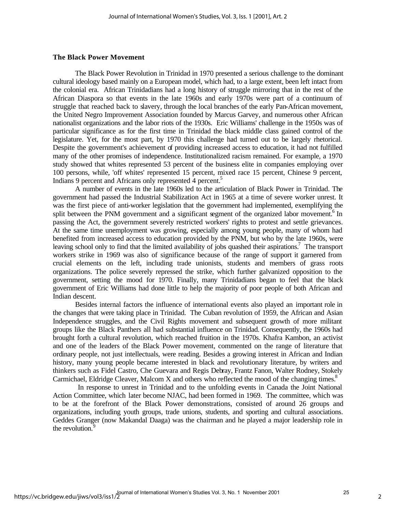#### **The Black Power Movement**

The Black Power Revolution in Trinidad in 1970 presented a serious challenge to the dominant cultural ideology based mainly on a European model, which had, to a large extent, been left intact from the colonial era. African Trinidadians had a long history of struggle mirroring that in the rest of the African Diaspora so that events in the late 1960s and early 1970s were part of a continuum of struggle that reached back to slavery, through the local branches of the early Pan-African movement, the United Negro Improvement Association founded by Marcus Garvey, and numerous other African nationalist organizations and the labor riots of the 1930s. Eric Williams' challenge in the 1950s was of particular significance as for the first time in Trinidad the black middle class gained control of the legislature. Yet, for the most part, by 1970 this challenge had turned out to be largely rhetorical. Despite the government's achievement of providing increased access to education, it had not fulfilled many of the other promises of independence. Institutionalized racism remained. For example, a 1970 study showed that whites represented 53 percent of the business elite in companies employing over 100 persons, while, 'off whites' represented 15 percent, mixed race 15 percent, Chinese 9 percent, Indians 9 percent and Africans only represented 4 percent.<sup>5</sup>

A number of events in the late 1960s led to the articulation of Black Power in Trinidad. The government had passed the Industrial Stabilization Act in 1965 at a time of severe worker unrest. It was the first piece of anti-worker legislation that the government had implemented, exemplifying the split between the PNM government and a significant segment of the organized labor movement.<sup>6</sup> In passing the Act, the government severely restricted workers' rights to protest and settle grievances. At the same time unemployment was growing, especially among young people, many of whom had benefited from increased access to education provided by the PNM, but who by the late 1960s, were leaving school only to find that the limited availability of jobs quashed their aspirations.<sup>7</sup> The transport workers strike in 1969 was also of significance because of the range of support it garnered from crucial elements on the left, including trade unionists, students and members of grass roots organizations. The police severely repressed the strike, which further galvanized opposition to the government, setting the mood for 1970. Finally, many Trinidadians began to feel that the black government of Eric Williams had done little to help the majority of poor people of both African and Indian descent.

Besides internal factors the influence of international events also played an important role in the changes that were taking place in Trinidad. The Cuban revolution of 1959, the African and Asian Independence struggles, and the Civil Rights movement and subsequent growth of more militant groups like the Black Panthers all had substantial influence on Trinidad. Consequently, the 1960s had brought forth a cultural revolution, which reached fruition in the 1970s. Khafra Kambon, an activist and one of the leaders of the Black Power movement, commented on the range of literature that ordinary people, not just intellectuals, were reading. Besides a growing interest in African and Indian history, many young people became interested in black and revolutionary literature, by writers and thinkers such as Fidel Castro, Che Guevara and Regis Debray, Frantz Fanon, Walter Rodney, Stokely Carmichael, Eldridge Cleaver, Malcom X and others who reflected the mood of the changing times.<sup>8</sup>

 In response to unrest in Trinidad and to the unfolding events in Canada the Joint National Action Committee, which later become NJAC, had been formed in 1969. The committee, which was to be at the forefront of the Black Power demonstrations, consisted of around 26 groups and organizations, including youth groups, trade unions, students, and sporting and cultural associations. Geddes Granger (now Makandal Daaga) was the chairman and he played a major leadership role in the revolution.<sup>9</sup>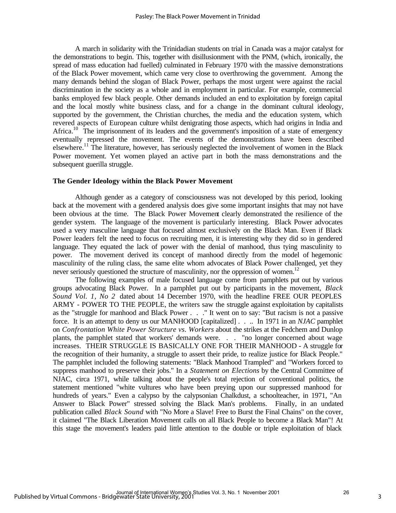A march in solidarity with the Trinidadian students on trial in Canada was a major catalyst for the demonstrations to begin. This, together with disillusionment with the PNM, (which, ironically, the spread of mass education had fuelled) culminated in February 1970 with the massive demonstrations of the Black Power movement, which came very close to overthrowing the government. Among the many demands behind the slogan of Black Power, perhaps the most urgent were against the racial discrimination in the society as a whole and in employment in particular. For example, commercial banks employed few black people. Other demands included an end to exploitation by foreign capital and the local mostly white business class, and for a change in the dominant cultural ideology, supported by the government, the Christian churches, the media and the education system, which revered aspects of European culture whilst denigrating those aspects, which had origins in India and Africa.<sup>10</sup> The imprisonment of its leaders and the government's imposition of a state of emergency eventually repressed the movement. The events of the demonstrations have been described elsewhere.<sup>11</sup> The literature, however, has seriously neglected the involvement of women in the Black Power movement. Yet women played an active part in both the mass demonstrations and the subsequent guerilla struggle.

#### **The Gender Ideology within the Black Power Movement**

Although gender as a category of consciousness was not developed by this period, looking back at the movement with a gendered analysis does give some important insights that may not have been obvious at the time. The Black Power Movement clearly demonstrated the resilience of the gender system. The language of the movement is particularly interesting. Black Power advocates used a very masculine language that focused almost exclusively on the Black Man. Even if Black Power leaders felt the need to focus on recruiting men, it is interesting why they did so in gendered language. They equated the lack of power with the denial of manhood, thus tying masculinity to power. The movement derived its concept of manhood directly from the model of hegemonic masculinity of the ruling class, the same elite whom advocates of Black Power challenged, yet they never seriously questioned the structure of masculinity, nor the oppression of women.<sup>12</sup>

The following examples of male focused language come from pamphlets put out by various groups advocating Black Power. In a pamphlet put out by participants in the movement, *Black Sound Vol. 1, No 2* dated about 14 December 1970, with the headline FREE OUR PEOPLES ARMY - POWER TO THE PEOPLE, the writers saw the struggle against exploitation by capitalists as the "struggle for manhood and Black Power . . ." It went on to say: "But racism is not a passive force. It is an attempt to deny us our MANHOOD [capitalized] . . .. In 1971 in an *NJAC* pamphlet on *Confrontation White Power Structure vs. Workers* about the strikes at the Fedchem and Dunlop plants, the pamphlet stated that workers' demands were. . . "no longer concerned about wage increases. THEIR STRUGGLE IS BASICALLY ONE FOR THEIR MANHOOD - A struggle for the recognition of their humanity, a struggle to assert their pride, to realize justice for Black People." The pamphlet included the following statements: "Black Manhood Trampled" and "Workers forced to suppress manhood to preserve their jobs." In a *Statement on Elections* by the Central Committee of NJAC, circa 1971, while talking about the people's total rejection of conventional politics, the statement mentioned "white vultures who have been preying upon our suppressed manhood for hundreds of years." Even a calypso by the calypsonian Chalkdust, a schoolteacher, in 1971, "An Answer to Black Power" stressed solving the Black Man's problems. Finally, in an undated publication called *Black Sound* with "No More a Slave! Free to Burst the Final Chains" on the cover, it claimed "The Black Liberation Movement calls on all Black People to become a Black Man"! At this stage the movement's leaders paid little attention to the double or triple exploitation of black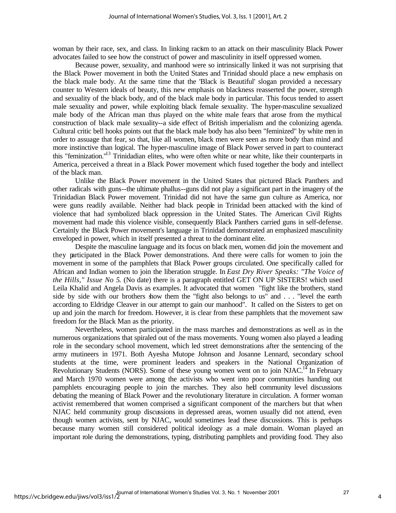woman by their race, sex, and class. In linking racism to an attack on their masculinity Black Power advocates failed to see how the construct of power and masculinity in itself oppressed women.

Because power, sexuality, and manhood were so intrinsically linked it was not surprising that the Black Power movement in both the United States and Trinidad should place a new emphasis on the black male body. At the same time that the 'Black is Beautiful' slogan provided a necessary counter to Western ideals of beauty, this new emphasis on blackness reasserted the power, strength and sexuality of the black body, and of the black male body in particular. This focus tended to assert male sexuality and power, while exploiting black female sexuality. The hyper-masculine sexualized male body of the African man thus played on the white male fears that arose from the mythical construction of black male sexuality--a side effect of British imperialism and the colonizing agenda. Cultural critic bell hooks points out that the black male body has also been "feminized" by white men in order to assuage that fear, so that, like all women, black men were seen as more body than mind and more instinctive than logical. The hyper-masculine image of Black Power served in part to counteract this "feminization."<sup>13</sup> Trinidadian elites, who were often white or near white, like their counterparts in America, perceived a threat in a Black Power movement which fused together the body and intellect of the black man.

Unlike the Black Power movement in the United States that pictured Black Panthers and other radicals with guns--the ultimate phallus--guns did not play a significant part in the imagery of the Trinidadian Black Power movement. Trinidad did not have the same gun culture as America, nor were guns readily available. Neither had black people in Trinidad been attacked with the kind of violence that had symbolized black oppression in the United States. The American Civil Rights movement had made this violence visible, consequently Black Panthers carried guns in self-defense. Certainly the Black Power movement's language in Trinidad demonstrated an emphasized masculinity enveloped in power, which in itself presented a threat to the dominant elite.

Despite the masculine language and its focus on black men, women did join the movement and they participated in the Black Power demonstrations. And there were calls for women to join the movement in some of the pamphlets that Black Power groups circulated. One specifically called for African and Indian women to join the liberation struggle. In *East Dry River Speaks: "The Voice of the Hills," Issue No 5*. (No date) there is a paragraph entitled GET ON UP SISTERS! which used Leila Khalid and Angela Davis as examples. It advocated that women "fight like the brothers, stand side by side with our brothers show them the "fight also belongs to us" and . . . "level the earth according to Eldridge Cleaver in our attempt to gain our manhood". It called on the Sisters to get on up and join the march for freedom. However, it is clear from these pamphlets that the movement saw freedom for the Black Man as the priority.

Nevertheless, women participated in the mass marches and demonstrations as well as in the numerous organizations that spiraled out of the mass movements. Young women also played a leading role in the secondary school movement, which led street demonstrations after the sentencing of the army mutineers in 1971. Both Ayesha Mutope Johnson and Josanne Lennard, secondary school students at the time, were prominent leaders and speakers in the National Organization of Revolutionary Students (NORS). Some of these young women went on to join NJAC.<sup>14</sup> In February and March 1970 women were among the activists who went into poor communities handing out pamphlets encouraging people to join the marches. They also held community level discussions debating the meaning of Black Power and the revolutionary literature in circulation. A former woman activist remembered that women comprised a significant component of the marchers but that when NJAC held community group discussions in depressed areas, women usually did not attend, even though women activists, sent by NJAC, would sometimes lead these discussions. This is perhaps because many women still considered political ideology as a male domain. Woman played an important role during the demonstrations, typing, distributing pamphlets and providing food. They also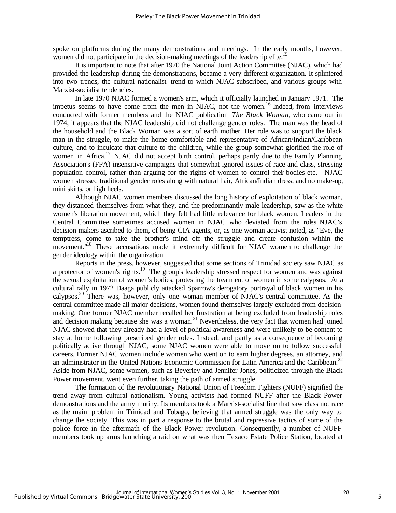spoke on platforms during the many demonstrations and meetings. In the early months, however, women did not participate in the decision-making meetings of the leadership elite.<sup>15</sup>

It is important to note that after 1970 the National Joint Action Committee (NJAC), which had provided the leadership during the demonstrations, became a very different organization. It splintered into two trends, the cultural nationalist trend to which NJAC subscribed, and various groups with Marxist-socialist tendencies.

In late 1970 NJAC formed a women's arm, which it officially launched in January 1971. The impetus seems to have come from the men in NJAC, not the women.<sup>16</sup> Indeed, from interviews conducted with former members and the NJAC publication *The Black Woman*, who came out in 1974, it appears that the NJAC leadership did not challenge gender roles. The man was the head of the household and the Black Woman was a sort of earth mother. Her role was to support the black man in the struggle, to make the home comfortable and representative of African/Indian/Caribbean culture, and to inculcate that culture to the children, while the group somewhat glorified the role of women in Africa.<sup>17</sup> NJAC did not accept birth control, perhaps partly due to the Family Planning Association's (FPA) insensitive campaigns that somewhat ignored issues of race and class, stressing population control, rather than arguing for the rights of women to control their bodies etc. NJAC women stressed traditional gender roles along with natural hair, African/Indian dress, and no make-up, mini skirts, or high heels.

Although NJAC women members discussed the long history of exploitation of black woman, they distanced themselves from what they, and the predominantly male leadership, saw as the white women's liberation movement, which they felt had little relevance for black women. Leaders in the Central Committee sometimes accused women in NJAC who deviated from the roles NJAC's decision makers ascribed to them, of being CIA agents, or, as one woman activist noted, as "Eve, the temptress, come to take the brother's mind off the struggle and create confusion within the movement."<sup>18</sup> These accusations made it extremely difficult for NJAC women to challenge the gender ideology within the organization.

Reports in the press, however, suggested that some sections of Trinidad society saw NJAC as a protector of women's rights.<sup>19</sup> The group's leadership stressed respect for women and was against the sexual exploitation of women's bodies, protesting the treatment of women in some calypsos. At a cultural rally in 1972 Daaga publicly attacked Sparrow's derogatory portrayal of black women in his calypsos.<sup>20</sup> There was, however, only one woman member of NJAC's central committee. As the central committee made all major decisions, women found themselves largely excluded from decisionmaking. One former NJAC member recalled her frustration at being excluded from leadership roles and decision making because she was a woman.<sup>21</sup> Nevertheless, the very fact that women had joined NJAC showed that they already had a level of political awareness and were unlikely to be content to stay at home following prescribed gender roles. Instead, and partly as a consequence of becoming politically active through NJAC, some NJAC women were able to move on to follow successful careers. Former NJAC women include women who went on to earn higher degrees, an attorney, and an administrator in the United Nations Economic Commission for Latin America and the Caribbean.<sup>22</sup> Aside from NJAC, some women, such as Beverley and Jennifer Jones, politicized through the Black Power movement, went even further, taking the path of armed struggle.

The formation of the revolutionary National Union of Freedom Fighters (NUFF) signified the trend away from cultural nationalism. Young activists had formed NUFF after the Black Power demonstrations and the army mutiny. Its members took a Marxist-socialist line that saw class not race as the main problem in Trinidad and Tobago, believing that armed struggle was the only way to change the society. This was in part a response to the brutal and repressive tactics of some of the police force in the aftermath of the Black Power revolution. Consequently, a number of NUFF members took up arms launching a raid on what was then Texaco Estate Police Station, located at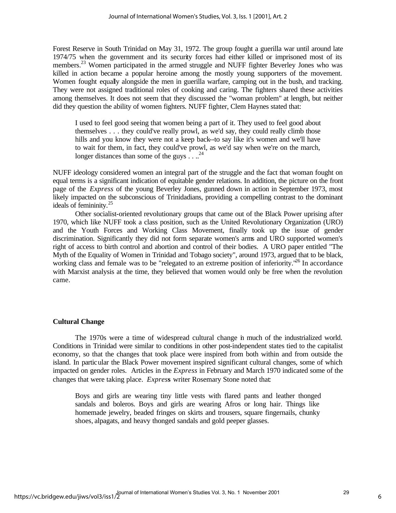Forest Reserve in South Trinidad on May 31, 1972. The group fought a guerilla war until around late 1974/75 when the government and its security forces had either killed or imprisoned most of its members.<sup>23</sup> Women participated in the armed struggle and NUFF fighter Beverley Jones who was killed in action became a popular heroine among the mostly young supporters of the movement. Women fought equally alongside the men in guerilla warfare, camping out in the bush, and tracking. They were not assigned traditional roles of cooking and caring. The fighters shared these activities among themselves. It does not seem that they discussed the "woman problem" at length, but neither did they question the ability of women fighters. NUFF fighter, Clem Haynes stated that:

I used to feel good seeing that women being a part of it. They used to feel good about themselves . . . they could've really prowl, as we'd say, they could really climb those hills and you know they were not a keep back--to say like it's women and we'll have to wait for them, in fact, they could've prowl, as we'd say when we're on the march, longer distances than some of the guys  $\ldots^{24}$ 

NUFF ideology considered women an integral part of the struggle and the fact that woman fought on equal terms is a significant indication of equitable gender relations. In addition, the picture on the front page of the *Express* of the young Beverley Jones, gunned down in action in September 1973, most likely impacted on the subconscious of Trinidadians, providing a compelling contrast to the dominant ideals of femininity.<sup>25</sup>

Other socialist-oriented revolutionary groups that came out of the Black Power uprising after 1970, which like NUFF took a class position, such as the United Revolutionary Organization (URO) and the Youth Forces and Working Class Movement, finally took up the issue of gender discrimination. Significantly they did not form separate women's arms and URO supported women's right of access to birth control and abortion and control of their bodies. A URO paper entitled "The Myth of the Equality of Women in Trinidad and Tobago society", around 1973, argued that to be black, working class and female was to be "relegated to an extreme position of inferiority."<sup>26</sup> In accordance with Marxist analysis at the time, they believed that women would only be free when the revolution came.

#### **Cultural Change**

The 1970s were a time of widespread cultural change in much of the industrialized world. Conditions in Trinidad were similar to conditions in other post-independent states tied to the capitalist economy, so that the changes that took place were inspired from both within and from outside the island. In particular the Black Power movement inspired significant cultural changes, some of which impacted on gender roles. Articles in the *Express* in February and March 1970 indicated some of the changes that were taking place. *Expres***s** writer Rosemary Stone noted that:

Boys and girls are wearing tiny little vests with flared pants and leather thonged sandals and boleros. Boys and girls are wearing Afros or long hair. Things like homemade jewelry, beaded fringes on skirts and trousers, square fingernails, chunky shoes, alpagats, and heavy thonged sandals and gold peeper glasses.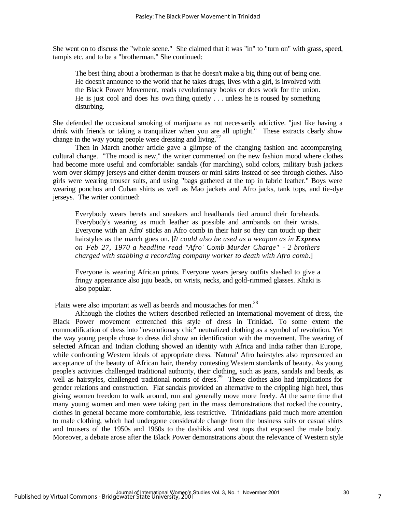She went on to discuss the "whole scene." She claimed that it was "in" to "turn on" with grass, speed, tampis etc. and to be a "brotherman." She continued:

The best thing about a brotherman is that he doesn't make a big thing out of being one. He doesn't announce to the world that he takes drugs, lives with a girl, is involved with the Black Power Movement, reads revolutionary books or does work for the union. He is just cool and does his own thing quietly . . . unless he is roused by something disturbing.

She defended the occasional smoking of marijuana as not necessarily addictive. "just like having a drink with friends or taking a tranquilizer when you are all uptight." These extracts clarly show change in the way young people were dressing and living.<sup>27</sup>

Then in March another article gave a glimpse of the changing fashion and accompanying cultural change. "The mood is new," the writer commented on the new fashion mood where clothes had become more useful and comfortable: sandals (for marching), solid colors, military bush jackets worn over skimpy jerseys and either denim trousers or mini skirts instead of see through clothes. Also girls were wearing trouser suits, and using "bags gathered at the top in fabric leather." Boys were wearing ponchos and Cuban shirts as well as Mao jackets and Afro jacks, tank tops, and tie-dye jerseys. The writer continued:

Everybody wears berets and sneakers and headbands tied around their foreheads. Everybody's wearing as much leather as possible and armbands on their wrists. Everyone with an Afro' sticks an Afro comb in their hair so they can touch up their hairstyles as the march goes on. [*It could also be used as a weapon as in Express on Feb 27, 1970 a headline read "Afro' Comb Murder Charge" - 2 brothers charged with stabbing a recording company worker to death with Afro comb.*]

Everyone is wearing African prints. Everyone wears jersey outfits slashed to give a fringy appearance also juju beads, on wrists, necks, and gold-rimmed glasses. Khaki is also popular.

Plaits were also important as well as beards and moustaches for men.<sup>28</sup>

Although the clothes the writers described reflected an international movement of dress, the Black Power movement entrenched this style of dress in Trinidad. To some extent the commodification of dress into "revolutionary chic" neutralized clothing as a symbol of revolution. Yet the way young people chose to dress did show an identification with the movement. The wearing of selected African and Indian clothing showed an identity with Africa and India rather than Europe, while confronting Western ideals of appropriate dress. 'Natural' Afro hairstyles also represented an acceptance of the beauty of African hair, thereby contesting Western standards of beauty. As young people's activities challenged traditional authority, their clothing, such as jeans, sandals and beads, as well as hairstyles, challenged traditional norms of dress.<sup>29</sup> These clothes also had implications for gender relations and construction. Flat sandals provided an alternative to the crippling high heel, thus giving women freedom to walk around, run and generally move more freely. At the same time that many young women and men were taking part in the mass demonstrations that rocked the country, clothes in general became more comfortable, less restrictive. Trinidadians paid much more attention to male clothing, which had undergone considerable change from the business suits or casual shirts and trousers of the 1950s and 1960s to the dashikis and vest tops that exposed the male body. Moreover, a debate arose after the Black Power demonstrations about the relevance of Western style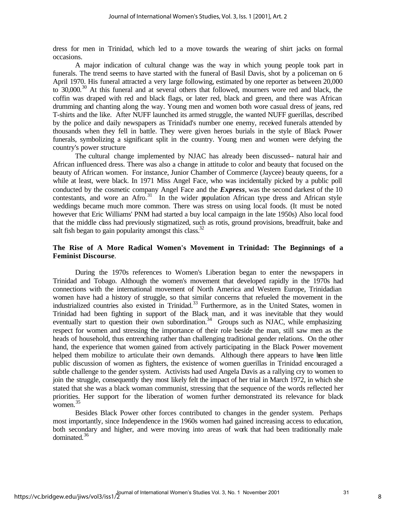dress for men in Trinidad, which led to a move towards the wearing of shirt jacks on formal occasions.

A major indication of cultural change was the way in which young people took part in funerals. The trend seems to have started with the funeral of Basil Davis, shot by a policeman on 6 April 1970. His funeral attracted a very large following, estimated by one reporter as between 20,000 to 30,000.<sup>30</sup> At this funeral and at several others that followed, mourners wore red and black, the coffin was draped with red and black flags, or later red, black and green, and there was African drumming and chanting along the way. Young men and women both wore casual dress of jeans, red T-shirts and the like. After NUFF launched its armed struggle, the wanted NUFF guerillas, described by the police and daily newspapers as Trinidad's number one enemy, received funerals attended by thousands when they fell in battle. They were given heroes burials in the style of Black Power funerals, symbolizing a significant split in the country. Young men and women were defying the country's power structure

The cultural change implemented by NJAC has already been discussed-- natural hair and African influenced dress. There was also a change in attitude to color and beauty that focused on the beauty of African women. For instance, Junior Chamber of Commerce (Jaycee) beauty queens, for a while at least, were black. In 1971 Miss Angel Face, who was incidentally picked by a public poll conducted by the cosmetic company Angel Face and the *Express*, was the second darkest of the 10 contestants, and wore an Afro.<sup>31</sup> In the wider population African type dress and African style weddings became much more common. There was stress on using local foods. (It must be noted however that Eric Williams' PNM had started a buy local campaign in the late 1950s) Also local food that the middle class had previously stigmatized, such as rotis, ground provisions, breadfruit, bake and salt fish began to gain popularity amongst this class.<sup>32</sup>

# **The Rise of A More Radical Women's Movement in Trinidad: The Beginnings of a Feminist Discourse**.

During the 1970s references to Women's Liberation began to enter the newspapers in Trinidad and Tobago. Although the women's movement that developed rapidly in the 1970s had connections with the international movement of North America and Western Europe, Trinidadian women have had a history of struggle, so that similar concerns that refueled the movement in the industrialized countries also existed in Trinidad.<sup>33</sup> Furthermore, as in the United States, women in Trinidad had been fighting in support of the Black man, and it was inevitable that they would eventually start to question their own subordination.<sup>34</sup> Groups such as NJAC, while emphasizing respect for women and stressing the importance of their role beside the man, still saw men as the heads of household, thus entrenching rather than challenging traditional gender relations. On the other hand, the experience that women gained from actively participating in the Black Power movement helped them mobilize to articulate their own demands. Although there appears to have been little public discussion of women as fighters, the existence of women guerillas in Trinidad encouraged a subtle challenge to the gender system. Activists had used Angela Davis as a rallying cry to women to join the struggle, consequently they most likely felt the impact of her trial in March 1972, in which she stated that she was a black woman communist, stressing that the sequence of the words reflected her priorities. Her support for the liberation of women further demonstrated its relevance for black women.<sup>35</sup>

Besides Black Power other forces contributed to changes in the gender system. Perhaps most importantly, since Independence in the 1960s women had gained increasing access to education, both secondary and higher, and were moving into areas of work that had been traditionally male dominated.<sup>36</sup>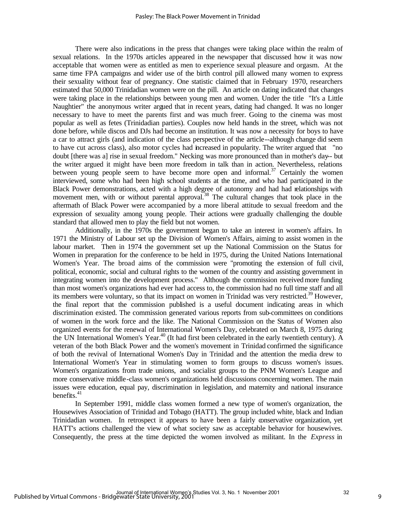There were also indications in the press that changes were taking place within the realm of sexual relations. In the 1970s articles appeared in the newspaper that discussed how it was now acceptable that women were as entitled as men to experience sexual pleasure and orgasm. At the same time FPA campaigns and wider use of the birth control pill allowed many women to express their sexuality without fear of pregnancy. One statistic claimed that in February 1970, researchers estimated that 50,000 Trinidadian women were on the pill. An article on dating indicated that changes were taking place in the relationships between young men and women. Under the title "It's a Little Naughtier" the anonymous writer argued that in recent years, dating had changed. It was no longer necessary to have to meet the parents first and was much freer. Going to the cinema was most popular as well as fetes (Trinidadian parties). Couples now held hands in the street, which was not done before, while discos and DJs had become an institution. It was now a necessity for boys to have a car to attract girls (and indication of the class perspective of the article--although change did seem to have cut across class), also motor cycles had increased in popularity. The writer argued that "no doubt [there was a] rise in sexual freedom." Necking was more pronounced than in mother's day-- but the writer argued it might have been more freedom in talk than in action. Nevertheless, relations between young people seem to have become more open and informal.<sup>37</sup> Certainly the women interviewed, some who had been high school students at the time, and who had participated in the Black Power demonstrations, acted with a high degree of autonomy and had had relationships with movement men, with or without parental approval.<sup>38</sup> The cultural changes that took place in the aftermath of Black Power were accompanied by a more liberal attitude to sexual freedom and the expression of sexuality among young people. Their actions were gradually challenging the double standard that allowed men to play the field but not women.

Additionally, in the 1970s the government began to take an interest in women's affairs. In 1971 the Ministry of Labour set up the Division of Women's Affairs, aiming to assist women in the labour market. Then in 1974 the government set up the National Commission on the Status for Women in preparation for the conference to be held in 1975, during the United Nations International Women's Year. The broad aims of the commission were "promoting the extension of full civil, political, economic, social and cultural rights to the women of the country and assisting government in integrating women into the development process." Although the commission received more funding than most women's organizations had ever had access to, the commission had no full time staff and all its members were voluntary, so that its impact on women in Trinidad was very restricted.<sup>39</sup> However, the final report that the commission published is a useful document indicating areas in which discrimination existed. The commission generated various reports from sub-committees on conditions of women in the work force and the like. The National Commission on the Status of Women also organized events for the renewal of International Women's Day, celebrated on March 8, 1975 during the UN International Women's Year.<sup>40</sup> (It had first been celebrated in the early twentieth century). A veteran of the both Black Power and the women's movement in Trinidad confirmed the significance of both the revival of International Women's Day in Trinidad and the attention the media drew to International Women's Year in stimulating women to form groups to discuss women's issues. Women's organizations from trade unions, and socialist groups to the PNM Women's League and more conservative middle-class women's organizations held discussions concerning women. The main issues were education, equal pay, discrimination in legislation, and maternity and national insurance benefits. $41$ 

In September 1991, middle class women formed a new type of women's organization, the Housewives Association of Trinidad and Tobago (HATT). The group included white, black and Indian Trinidadian women. In retrospect it appears to have been a fairly conservative organization, yet HATT's actions challenged the view of what society saw as acceptable behavior for housewives. Consequently, the press at the time depicted the women involved as militant. In the *Express* in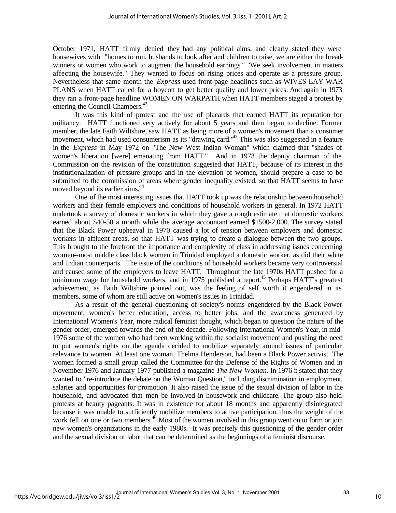October 1971, HATT firmly denied they had any political aims, and clearly stated they were housewives with "homes to run, husbands to look after and children to raise, we are either the breadwinners or women who work to augment the household earnings." "We seek involvement in matters affecting the housewife." They wanted to focus on rising prices and operate as a pressure group. Nevertheless that same month the *Express* used front-page headlines such as WIVES LAY WAR PLANS when HATT called for a boycott to get better quality and lower prices. And again in 1973 they ran a front-page headline WOMEN ON WARPATH when HATT members staged a protest by entering the Council Chambers.<sup>42</sup>

It was this kind of protest and the use of placards that earned HATT its reputation for militancy. HATT functioned very actively for about 5 years and then began to decline. Former member, the late Faith Wiltshire, saw HATT as being more of a women's movement than a consumer movement, which had used consumerism as its "drawing card."<sup>43</sup> This was also suggested in a feature in the *Express* in May 1972 on "The New West Indian Woman" which claimed that "shades of women's liberation [were] emanating from HATT." And in 1973 the deputy chairman of the Commission on the revision of the constitution suggested that HATT, because of its interest in the institutionalization of pressure groups and in the elevation of women, should prepare a case to be submitted to the commission of areas where gender inequality existed, so that HATT seems to have moved beyond its earlier aims.<sup>44</sup>

One of the most interesting issues that HATT took up was the relationship between household workers and their female employers and conditions of household workers in general. In 1972 HATT undertook a survey of domestic workers in which they gave a rough estimate that domestic workers earned about \$40-50 a month while the average accountant earned \$1500-2,000. The survey stated that the Black Power upheaval in 1970 caused a lot of tension between employers and domestic workers in affluent areas, so that HATT was trying to create a dialogue between the two groups. This brought to the forefront the importance and complexity of class in addressing issues concerning women--most middle class black women in Trinidad employed a domestic worker, as did their white and Indian counterparts. The issue of the conditions of household workers became very controversial and caused some of the employers to leave HATT. Throughout the late 1970s HATT pushed for a minimum wage for household workers, and in 1975 published a report.<sup>45</sup> Perhaps HATT's greatest achievement, as Faith Wiltshire pointed out, was the feeling of self worth it engendered in its members, some of whom are still active on women's issues in Trinidad.

As a result of the general questioning of society's norms engendered by the Black Power movement, women's better education, access to better jobs, and the awareness generated by International Women's Year, more radical feminist thought, which began to question the nature of the gender order, emerged towards the end of the decade. Following International Women's Year, in mid-1976 some of the women who had been working within the socialist movement and pushing the need to put women's rights on the agenda decided to mobilize separately around issues of particular relevance to women. At least one woman, Thelma Henderson, had been a Black Power activist. The women formed a small group called the Committee for the Defense of the Rights of Women and in November 1976 and January 1977 published a magazine *The New Woman*. In 1976 it stated that they wanted to "re-introduce the debate on the Woman Question," including discrimination in employment, salaries and opportunities for promotion. It also raised the issue of the sexual division of labor in the household, and advocated that men be involved in housework and childcare. The group also held protests at beauty pageants. It was in existence for about 18 months and apparently disintegrated because it was unable to sufficiently mobilize members to active participation, thus the weight of the work fell on one or two members.<sup>46</sup> Most of the women involved in this group went on to form or join new women's organizations in the early 1980s. It was precisely this questioning of the gender order and the sexual division of labor that can be determined as the beginnings of a feminist discourse.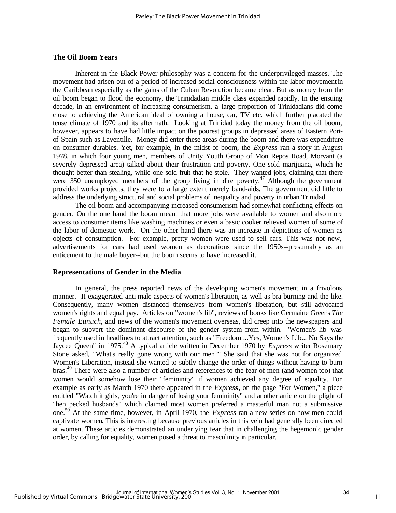# **The Oil Boom Years**

Inherent in the Black Power philosophy was a concern for the underprivileged masses. The movement had arisen out of a period of increased social consciousness within the labor movement in the Caribbean especially as the gains of the Cuban Revolution became clear. But as money from the oil boom began to flood the economy, the Trinidadian middle class expanded rapidly. In the ensuing decade, in an environment of increasing consumerism, a large proportion of Trinidadians did come close to achieving the American ideal of owning a house, car, TV etc. which further placated the tense climate of 1970 and its aftermath. Looking at Trinidad today the money from the oil boom, however, appears to have had little impact on the poorest groups in depressed areas of Eastern Portof-Spain such as Laventille. Money did enter these areas during the boom and there was expenditure on consumer durables. Yet, for example, in the midst of boom, the *Express* ran a story in August 1978, in which four young men, members of Unity Youth Group of Mon Repos Road, Morvant (a severely depressed area) talked about their frustration and poverty. One sold marijuana, which he thought better than stealing, while one sold fruit that he stole. They wanted jobs, claiming that there were 350 unemployed members of the group living in dire poverty.<sup>47</sup> Although the government provided works projects, they were to a large extent merely band-aids. The government did little to address the underlying structural and social problems of inequality and poverty in urban Trinidad.

The oil boom and accompanying increased consumerism had somewhat conflicting effects on gender. On the one hand the boom meant that more jobs were available to women and also more access to consumer items like washing machines or even a basic cooker relieved women of some of the labor of domestic work. On the other hand there was an increase in depictions of women as objects of consumption. For example, pretty women were used to sell cars. This was not new, advertisements for cars had used women as decorations since the 1950s--presumably as an enticement to the male buyer--but the boom seems to have increased it.

#### **Representations of Gender in the Media**

In general, the press reported news of the developing women's movement in a frivolous manner. It exaggerated anti-male aspects of women's liberation, as well as bra burning and the like. Consequently, many women distanced themselves from women's liberation, but still advocated women's rights and equal pay. Articles on "women's lib", reviews of books like Germaine Greer's *The Female Eunuch*, and news of the women's movement overseas, did creep into the newspapers and began to subvert the dominant discourse of the gender system from within. 'Women's lib' was frequently used in headlines to attract attention, such as "Freedom ...Yes, Women's Lib... No Says the Jaycee Queen" in 1975.<sup>48</sup> A typical article written in December 1970 by *Express* writer Rosemary Stone asked, "What's really gone wrong with our men?" She said that she was not for organized Women's Liberation, instead she wanted to subtly change the order of things without having to burn bras.<sup>49</sup> There were also a number of articles and references to the fear of men (and women too) that women would somehow lose their "femininity" if women achieved any degree of equality. For example as early as March 1970 there appeared in the *Expres***s**, on the page "For Women," a piece entitled "Watch it girls, you're in danger of losing your femininity" and another article on the plight of "hen pecked husbands" which claimed most women preferred a masterful man not a submissive one. <sup>50</sup> At the same time, however, in April 1970, the *Express* ran a new series on how men could captivate women. This is interesting because previous articles in this vein had generally been directed at women. These articles demonstrated an underlying fear that in challenging the hegemonic gender order, by calling for equality, women posed a threat to masculinity in particular.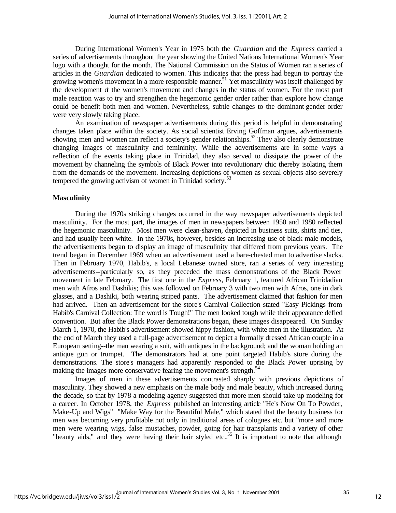During International Women's Year in 1975 both the *Guardian* and the *Express* carried a series of advertisements throughout the year showing the United Nations International Women's Year logo with a thought for the month. The National Commission on the Status of Women ran a series of articles in the *Guardian* dedicated to women. This indicates that the press had begun to portray the growing women's movement in a more responsible manner.<sup>51</sup> Yet masculinity was itself challenged by the development of the women's movement and changes in the status of women. For the most part male reaction was to try and strengthen the hegemonic gender order rather than explore how change could be benefit both men and women. Nevertheless, subtle changes to the dominant gender order were very slowly taking place.

An examination of newspaper advertisements during this period is helpful in demonstrating changes taken place within the society. As social scientist Erving Goffman argues, advertisements showing men and women can reflect a society's gender relationships.<sup>52</sup> They also clearly demonstrate changing images of masculinity and femininity. While the advertisements are in some ways a reflection of the events taking place in Trinidad, they also served to dissipate the power of the movement by channeling the symbols of Black Power into revolutionary chic thereby isolating them from the demands of the movement. Increasing depictions of women as sexual objects also severely tempered the growing activism of women in Trinidad society.<sup>53</sup>

#### **Masculinity**

During the 1970s striking changes occurred in the way newspaper advertisements depicted masculinity. For the most part, the images of men in newspapers between 1950 and 1980 reflected the hegemonic masculinity. Most men were clean-shaven, depicted in business suits, shirts and ties, and had usually been white. In the 1970s, however, besides an increasing use of black male models, the advertisements began to display an image of masculinity that differed from previous years. The trend began in December 1969 when an advertisement used a bare-chested man to advertise slacks. Then in February 1970, Habib's, a local Lebanese owned store, ran a series of very interesting advertisements--particularly so, as they preceded the mass demonstrations of the Black Power movement in late February. The first one in the *Express*, February 1, featured African Trinidadian men with Afros and Dashikis; this was followed on February 3 with two men with Afros, one in dark glasses, and a Dashiki, both wearing striped pants. The advertisement claimed that fashion for men had arrived. Then an advertisement for the store's Carnival Collection stated "Easy Pickings from Habib's Carnival Collection: The word is Tough!" The men looked tough while their appearance defied convention. But after the Black Power demonstrations began, these images disappeared. On Sunday March 1, 1970, the Habib's advertisement showed hippy fashion, with white men in the illustration. At the end of March they used a full-page advertisement to depict a formally dressed African couple in a European setting--the man wearing a suit, with antiques in the background; and the woman holding an antique gun or trumpet. The demonstrators had at one point targeted Habib's store during the demonstrations. The store's managers had apparently responded to the Black Power uprising by making the images more conservative fearing the movement's strength.<sup>54</sup>

Images of men in these advertisements contrasted sharply with previous depictions of masculinity. They showed a new emphasis on the male body and male beauty, which increased during the decade, so that by 1978 a modeling agency suggested that more men should take up modeling for a career. In October 1978, the *Express* published an interesting article "He's Now On To Powder, Make-Up and Wigs" "Make Way for the Beautiful Male," which stated that the beauty business for men was becoming very profitable not only in traditional areas of colognes etc. but "more and more men were wearing wigs, false mustaches, powder, going for hair transplants and a variety of other "beauty aids," and they were having their hair styled etc..<sup>55</sup> It is important to note that although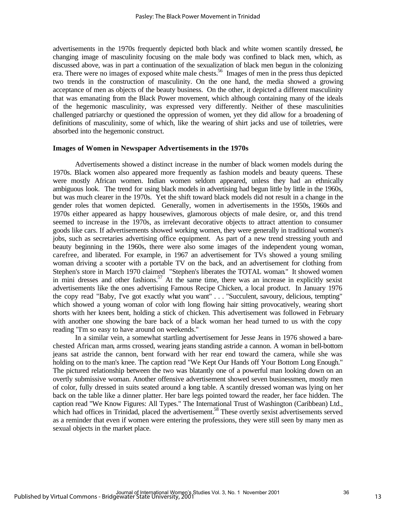advertisements in the 1970s frequently depicted both black and white women scantily dressed, the changing image of masculinity focusing on the male body was confined to black men, which, as discussed above, was in part a continuation of the sexualization of black men begun in the colonizing era. There were no images of exposed white male chests.<sup>56</sup> Images of men in the press thus depicted two trends in the construction of masculinity. On the one hand, the media showed a growing acceptance of men as objects of the beauty business. On the other, it depicted a different masculinity that was emanating from the Black Power movement, which although containing many of the ideals of the hegemonic masculinity, was expressed very differently. Neither of these masculinities challenged patriarchy or questioned the oppression of women, yet they did allow for a broadening of definitions of masculinity, some of which, like the wearing of shirt jacks and use of toiletries, were absorbed into the hegemonic construct.

#### **Images of Women in Newspaper Advertisements in the 1970s**

Advertisements showed a distinct increase in the number of black women models during the 1970s. Black women also appeared more frequently as fashion models and beauty queens. These were mostly African women. Indian women seldom appeared, unless they had an ethnically ambiguous look. The trend for using black models in advertising had begun little by little in the 1960s, but was much clearer in the 1970s. Yet the shift toward black models did not result in a change in the gender roles that women depicted. Generally, women in advertisements in the 1950s, 1960s and 1970s either appeared as happy housewives, glamorous objects of male desire, or, and this trend seemed to increase in the 1970s, as irrelevant decorative objects to attract attention to consumer goods like cars. If advertisements showed working women, they were generally in traditional women's jobs, such as secretaries advertising office equipment. As part of a new trend stressing youth and beauty beginning in the 1960s, there were also some images of the independent young woman, carefree, and liberated. For example, in 1967 an advertisement for TVs showed a young smiling woman driving a scooter with a portable TV on the back, and an advertisement for clothing from Stephen's store in March 1970 claimed "Stephen's liberates the TOTAL woman." It showed women in mini dresses and other fashions.<sup>57</sup> At the same time, there was an increase in explicitly sexist advertisements like the ones advertising Famous Recipe Chicken, a local product. In January 1976 the copy read "Baby, I've got exactly what you want" . . . "Succulent, savoury, delicious, tempting" which showed a young woman of color with long flowing hair sitting provocatively, wearing short shorts with her knees bent, holding a stick of chicken. This advertisement was followed in February with another one showing the bare back of a black woman her head turned to us with the copy reading "I'm so easy to have around on weekends."

In a similar vein, a somewhat startling advertisement for Jesse Jeans in 1976 showed a barechested African man, arms crossed, wearing jeans standing astride a cannon. A woman in bell-bottom jeans sat astride the cannon, bent forward with her rear end toward the camera, while she was holding on to the man's knee. The caption read "We Kept Our Hands off Your Bottom Long Enough." The pictured relationship between the two was blatantly one of a powerful man looking down on an overtly submissive woman. Another offensive advertisement showed seven businessmen, mostly men of color, fully dressed in suits seated around a long table. A scantily dressed woman was lying on her back on the table like a dinner platter. Her bare legs pointed toward the reader, her face hidden. The caption read "We Know Figures: All Types." The International Trust of Washington (Caribbean) Ltd., which had offices in Trinidad, placed the advertisement.<sup>58</sup> These overtly sexist advertisements served as a reminder that even if women were entering the professions, they were still seen by many men as sexual objects in the market place.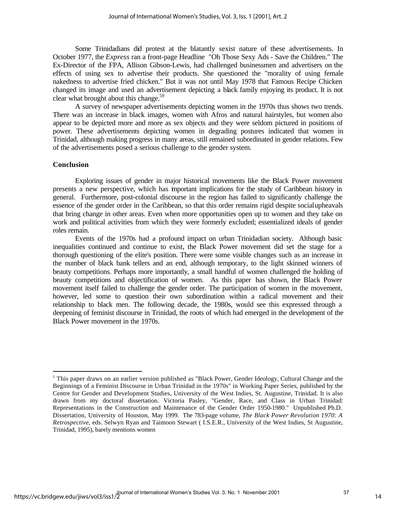Some Trinidadians did protest at the blatantly sexist nature of these advertisements. In October 1977, the *Express* ran a front-page Headline "Oh Those Sexy Ads - Save the Children." The Ex-Director of the FPA, Allison Gibson-Lewis, had challenged businessmen and advertisers on the effects of using sex to advertise their products. She questioned the "morality of using female nakedness to advertise fried chicken." But it was not until May 1978 that Famous Recipe Chicken changed its image and used an advertisement depicting a black family enjoying its product. It is not clear what brought about this change. $59$ 

A survey of newspaper advertisements depicting women in the 1970s thus shows two trends. There was an increase in black images, women with Afros and natural hairstyles, but women also appear to be depicted more and more as sex objects and they were seldom pictured in positions of power. These advertisements depicting women in degrading postures indicated that women in Trinidad, although making progress in many areas, still remained subordinated in gender relations. Few of the advertisements posed a serious challenge to the gender system.

### **Conclusion**

l

Exploring issues of gender in major historical movements like the Black Power movement presents a new perspective, which has important implications for the study of Caribbean history in general. Furthermore, post-colonial discourse in the region has failed to significantly challenge the essence of the gender order in the Caribbean, so that this order remains rigid despite social upheavals that bring change in other areas. Even when more opportunities open up to women and they take on work and political activities from which they were formerly excluded; essentialized ideals of gender roles remain.

Events of the 1970s had a profound impact on urban Trinidadian society. Although basic inequalities continued and continue to exist, the Black Power movement did set the stage for a thorough questioning of the elite's position. There were some visible changes such as an increase in the number of black bank tellers and an end, although temporary, to the light skinned winners of beauty competitions. Perhaps more importantly, a small handful of women challenged the holding of beauty competitions and objectification of women. As this paper has shown, the Black Power movement itself failed to challenge the gender order. The participation of women in the movement, however, led some to question their own subordination within a radical movement and their relationship to black men. The following decade, the 1980s, would see this expressed through a deepening of feminist discourse in Trinidad, the roots of which had emerged in the development of the Black Power movement in the 1970s.

<sup>&</sup>lt;sup>1</sup> This paper draws on an earlier version published as "Black Power, Gender Ideology, Cultural Change and the Beginnings of a Feminist Discourse in Urban Trinidad in the 1970s" in Working Paper Series, published by the Centre for Gender and Development Studies, University of the West Indies, St. Augustine, Trinidad. It is also drawn from my doctoral dissertation. Victoria Pasley, "Gender, Race, and Class in Urban Trinidad: Representations in the Construction and Maintenance of the Gender Order 1950-1980." Unpublished Ph.D. Dissertation, University of Houston, May 1999. The 783-page volume, *The Black Power Revolution 1970: A Retrospective*, eds. Selwyn Ryan and Taimoon Stewart ( I.S.E.R., University of the West Indies, St Augustine, Trinidad, 1995), barely mentions women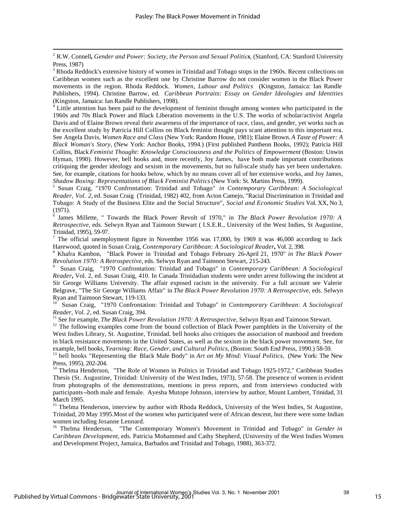l

<sup>4</sup> Little attention has been paid to the development of feminist thought among women who participated in the 1960s and 70s Black Power and Black Liberation movements in the U.S. The works of scholar/activist Angela Davis and of Elaine Brown reveal their awareness of the importance of race, class, and gender, yet works such as the excellent study by Patricia Hill Collins on Black feminist thought pays scant attention to this important era. See Angela Davis, *Women Race and Class* (New York: Random House, 1981); Elaine Brown. *A Taste of Power: A Black Woman's Story*, (New York: Anchor Books, 1994.) (First published Pantheon Books, 1992); Patricia Hill Collins, Black *Feminist Thought: Knowledge Consciousness and the Politics of Empowerment* (Boston: Unwin Hyman, 1990). However, bell hooks and, more recently, Joy James, have both made important contributions critiquing the gender ideology and sexism in the movements, but no full-scale study has yet been undertaken. See, for example, citations for hooks below, which by no means cover all of her extensive works, and Joy James, *Shadow Boxing: Representations of Black Feminist Politics* (New York: St. Martins Press, 1999).

5 Susan Craig, "1970 Confrontation: Trinidad and Tobago" *in Contemporary Caribbean: A Sociological Reader, Vol. 2,* ed. Susan Craig (Trinidad, 1982) 402, from Acton Camejo, "Racial Discrimination in Trinidad and Tobago: A Study of the Business Elite and the Social Structure", *Social and Economic Studies* Vol. XX, No 3, (1971).

6 James Millette, " Towards the Black Power Revolt of 1970," in *The Black Power Revolution 1970: A Retrospective*, eds. Selwyn Ryan and Taimoon Stewart ( I.S.E.R., University of the West Indies, St Augustine, Trinidad, 1995), 59-97.

7 The official unemployment figure in November 1956 was 17,000, by 1969 it was 46,000 according to Jack Harewood, quoted in Susan Craig, *Contemporary Caribbean: A Sociological Reader***,** Vol. 2, 398.

8 Khafra Kambon, "Black Power in Trinidad and Tobago February 26-April 21, 1970" *in The Black Power Revolution 1970: A Retrospective*, eds. Selwyn Ryan and Taimoon Stewart, 215-243.

9 Susan Craig, "1970 Confrontation: Trinidad and Tobago" in *Contemporary Caribbean: A Sociological Reader***,** Vol. 2, ed. Susan Craig, 410. In Canada Trinidadian students were under arrest following the incident at Sir George Williams University. The affair exposed racism in the university. For a full account see Valerie Belgrave, "The Sir George Williams Affair" in *The Black Power Revolution 1970: A Retrospective*, eds. Selwyn Ryan and Taimoon Stewart, 119-133.

<sup>10</sup> Susan Craig, "1970 Confrontation: Trinidad and Tobago" in *Contemporary Caribbean: A Sociological Reader, Vol. 2*, ed. Susan Craig, 394.

<sup>11</sup> See for example, *The Black Power Revolution 1970: A Retrospective*, Selwyn Ryan and Taimoon Stewart.

<sup>12</sup> The following examples come from the bound collection of Black Power pamphlets in the University of the West Indies Library, St. Augustine, Trinidad. bell hooks also critiques the association of manhood and freedom in black resistance movements in the United States, as well as the sexism in the black power movement. See, for example, bell hooks, *Yearning: Race, Gender, and Cultural Politics,* (Boston: South End Press, 1990.) 58-59.

<sup>13</sup> bell hooks "Representing the Black Male Body" in *Art on My Mind: Visual Politics*, (New York: The New Press, 1995), 202-204.

<sup>14</sup> Thelma Henderson, "The Role of Women in Politics in Trinidad and Tobago 1925-1972," Caribbean Studies Thesis (St. Augustine, Trinidad: University of the West Indies, 1973), 57-58. The presence of women is evident from photographs of the demonstrations, mentions in press reports, and from interviews conducted with participants--both male and female. Ayesha Mutope Johnson, interview by author, Mount Lambert, Trinidad, 31 March 1995.

<sup>15</sup> Thelma Henderson, interview by author with Rhoda Reddock, University of the West Indies, St Augustine, Trinidad, 20 May 1995.Most of the women who participated were of African descent, but there were some Indian women including Josanne Lennard.

<sup>16</sup> Thelma Henderson, "The Contemporary Women's Movement in Trinidad and Tobago" in *Gender in Caribbean Development*, eds. Patricia Mohammed and Cathy Shepherd, (University of the West Indies Women and Development Project, Jamaica, Barbados and Trinidad and Tobago, 1988), 363-372.

<sup>2</sup> R.W. Connell*, Gender and Power: Society, the Person and Sexual Politics*, (Stanford, CA: Stanford University Press, 1987)

<sup>&</sup>lt;sup>3</sup> Rhoda Reddock's extensive history of women in Trinidad and Tobago stops in the 1960s. Recent collections on Caribbean women such as the excellent one by Christine Barrow do not consider women in the Black Power movements in the region. Rhoda Reddock. *Women, Labour and Politics* (Kingston, Jamaica: Ian Randle Publishers, 1994). Christine Barrow, ed. *Caribbean Portraits: Essay on Gender Ideologies and Identities* (Kingston, Jamaica: Ian Randle Publishers, 1998).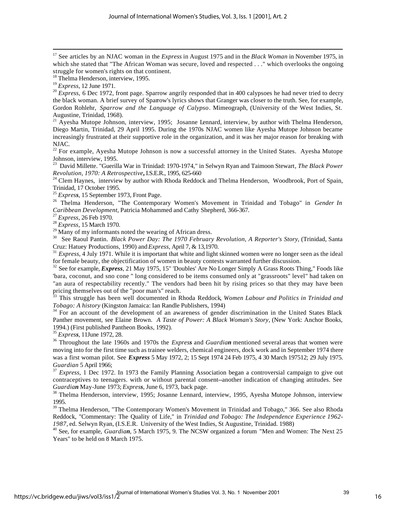<sup>17</sup> See articles by an NJAC woman in the *Express* in August 1975 and in the *Black Woman* in November 1975, in which she stated that "The African Woman was secure, loved and respected . . ." which overlooks the ongoing struggle for women's rights on that continent.

l

<sup>20</sup> Express, 6 Dec 1972, front page. Sparrow angrily responded that in 400 calypsoes he had never tried to decry the black woman. A brief survey of Sparrow's lyrics shows that Granger was closer to the truth. See, for example, Gordon Rohlehr, *Sparrow and the Language of Calypso*. Mimeograph, (University of the West Indies, St. Augustine, Trinidad, 1968).

<sup>21</sup> Ayesha Mutope Johnson, interview, 1995; Josanne Lennard, interview, by author with Thelma Henderson, Diego Martin, Trinidad, 29 April 1995. During the 1970s NJAC women like Ayesha Mutope Johnson became increasingly frustrated at their supportive role in the organization, and it was her major reason for breaking with NJAC.

 $22$  For example, Ayesha Mutope Johnson is now a successful attorney in the United States. Ayesha Mutope Johnson, interview, 1995.

<sup>23</sup> David Millette. "Guerilla War in Trinidad: 1970-1974," in Selwyn Ryan and Taimoon Stewart*, The Black Power Revolution, 1970: A Retrospective***,** I.S.E.R., 1995, 625-660

 $24$  Clem Haynes, interview by author with Rhoda Reddock and Thelma Henderson, Woodbrook, Port of Spain, Trinidad, 17 October 1995.

<sup>25</sup> *Express*, 15 September 1973, Front Page.

<sup>26</sup> Thelma Henderson, "The Contemporary Women's Movement in Trinidad and Tobago" in *Gender In Caribbean Development*, Patricia Mohammed and Cathy Shepherd, 366-367.

<sup>27</sup> *Express,* 26 Feb 1970.

<sup>28</sup> *Express,* 15 March 1970.

 $^{29}$  Many of my informants noted the wearing of African dress.

<sup>30</sup> See Raoul Pantin. *Black Power Day: The 1970 February Revolution, A Reporter's Story*, (Trinidad, Santa Cruz: Hatuey Productions, 1990) and *Express*, April 7, & 13,1970.

<sup>31</sup> *Express*, 4 July 1971. While it is important that white and light skinned women were no longer seen as the ideal for female beauty, the objectification of women in beauty contests warranted further discussion.

<sup>32</sup> See for example, *Express*, 21 May 1975, 15" 'Doubles' Are No Longer Simply A Grass Roots Thing," Foods like 'bara, coconut, and sno cone " long considered to be items consumed only at "grassroots" level" had taken on "an aura of respectability recently." The vendors had been hit by rising prices so that they may have been pricing themselves out of the "poor man's" reach.<br><sup>33</sup> This struggle has 1

<sup>33</sup> This struggle has been well documented in Rhoda Reddock*, Women Labour and Politics in Trinidad and Tobago: A history* (Kingston Jamaica: Ian Randle Publishers, 1994)

<sup>34</sup> For an account of the development of an awareness of gender discrimination in the United States Black Panther movement, see Elaine Brown. *A Taste of Power: A Black Woman's Story,* (New York: Anchor Books, 1994.) (First published Pantheon Books, 1992).

<sup>35</sup> *Express*, 11June 1972, 28.

<sup>36</sup> Throughout the late 1960s and 1970s the *Express* and *Guardian* mentioned several areas that women were moving into for the first time such as trainee welders, chemical engineers, dock work and in September 1974 there was a first woman pilot. See *Express* 5 May 1972, 2; 15 Sept 1974 24 Feb 1975, 4 30 March 197512; 29 July 1975. *Guardian* 5 April 1966;

<sup>37</sup> *Express*, 1 Dec 1972. In 1973 the Family Planning Association began a controversial campaign to give out contraceptives to teenagers. with or without parental consent--another indication of changing attitudes. See *Guardian* May-June 1973; *Express*, June 6, 1973, back page.

<sup>38</sup> Thelma Henderson, interview, 1995; Josanne Lennard, interview, 1995, Ayesha Mutope Johnson, interview 1995.

<sup>39</sup> Thelma Henderson, "The Contemporary Women's Movement in Trinidad and Tobago," 366. See also Rhoda Reddock, "Commentary: The Quality of Life," in *Trinidad and Tobago: The Independence Experience 1962- 1987,* ed. Selwyn Ryan, (I.S.E.R. University of the West Indies, St Augustine, Trinidad. 1988)

<sup>40</sup> See, for example, *Guardian*, 5 March 1975, 9. The NCSW organized a forum "Men and Women: The Next 25 Years" to be held on 8 March 1975.

<sup>&</sup>lt;sup>18</sup> Thelma Henderson, interview, 1995.

<sup>19</sup> *Express*, 12 June 1971.